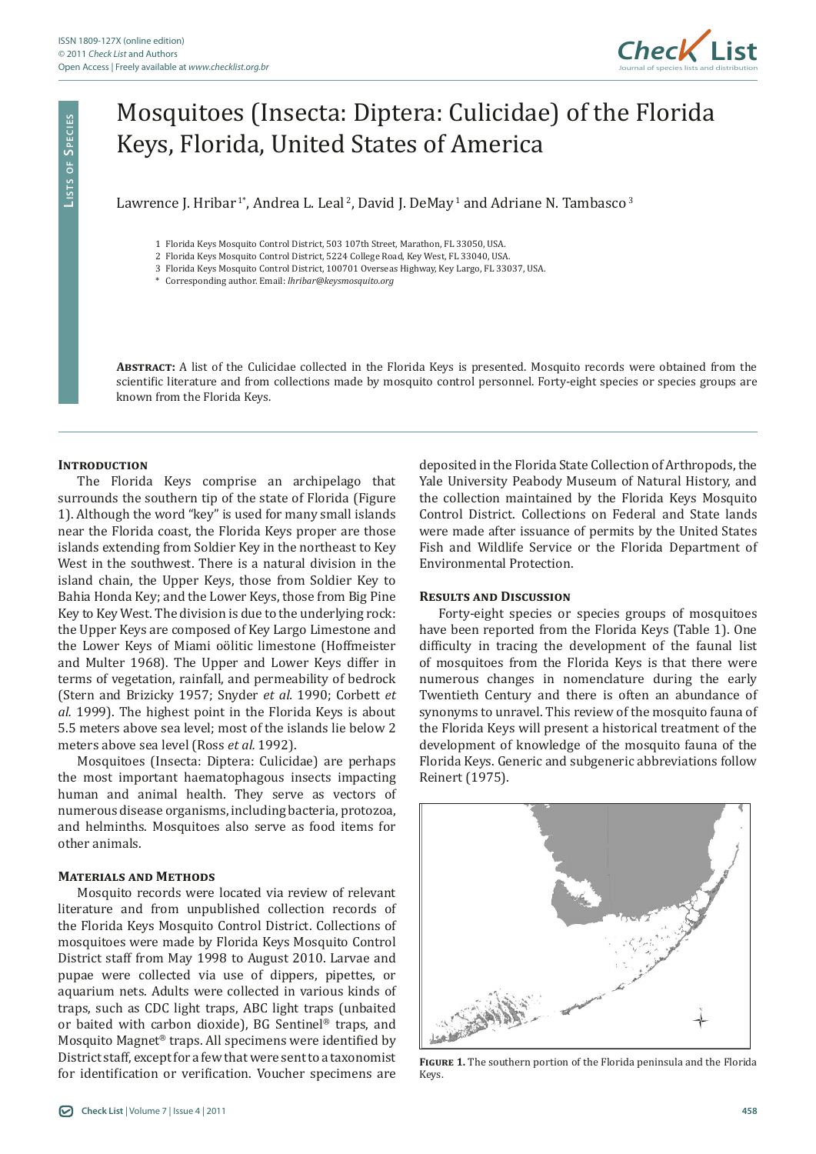

# Mosquitoes (Insecta: Diptera: Culicidae) of the Florida Keys, Florida, United States of America

Lawrence J. Hribar<sup>1\*</sup>, Andrea L. Leal<sup>2</sup>, David J. DeMay<sup>1</sup> and Adriane N. Tambasco<sup>3</sup>

1 Florida Keys Mosquito Control District, 503 107th Street, Marathon, FL 33050, USA.

2 Florida Keys Mosquito Control District, 5224 College Road, Key West, FL 33040, USA.

3 Florida Keys Mosquito Control District, 100701 Overseas Highway, Key Largo, FL 33037, USA.

\* Corresponding author. Email: *lhribar@keysmosquito.org*

**Abstract:** A list of the Culicidae collected in the Florida Keys is presented. Mosquito records were obtained from the scientific literature and from collections made by mosquito control personnel. Forty-eight species or species groups are known from the Florida Keys.

## **INTRODUCTION**

The Florida Keys comprise an archipelago that surrounds the southern tip of the state of Florida (Figure 1). Although the word "key" is used for many small islands near the Florida coast, the Florida Keys proper are those islands extending from Soldier Key in the northeast to Key West in the southwest. There is a natural division in the island chain, the Upper Keys, those from Soldier Key to Bahia Honda Key; and the Lower Keys, those from Big Pine Key to Key West. The division is due to the underlying rock: the Upper Keys are composed of Key Largo Limestone and the Lower Keys of Miami oölitic limestone (Hoffmeister and Multer 1968). The Upper and Lower Keys differ in terms of vegetation, rainfall, and permeability of bedrock (Stern and Brizicky 1957; Snyder *et al.* 1990; Corbett *et al.* 1999). The highest point in the Florida Keys is about 5.5 meters above sea level; most of the islands lie below 2 meters above sea level (Ross *et al.* 1992).

Mosquitoes (Insecta: Diptera: Culicidae) are perhaps the most important haematophagous insects impacting human and animal health. They serve as vectors of numerous disease organisms, including bacteria, protozoa, and helminths. Mosquitoes also serve as food items for other animals.

## **Materials and Methods**

Mosquito records were located via review of relevant literature and from unpublished collection records of the Florida Keys Mosquito Control District. Collections of mosquitoes were made by Florida Keys Mosquito Control District staff from May 1998 to August 2010. Larvae and pupae were collected via use of dippers, pipettes, or aquarium nets. Adults were collected in various kinds of traps, such as CDC light traps, ABC light traps (unbaited or baited with carbon dioxide), BG Sentinel® traps, and Mosquito Magnet® traps. All specimens were identified by District staff, except for a few that were sent to a taxonomist for identification or verification. Voucher specimens are

deposited in the Florida State Collection of Arthropods, the Yale University Peabody Museum of Natural History, and the collection maintained by the Florida Keys Mosquito Control District. Collections on Federal and State lands were made after issuance of permits by the United States Fish and Wildlife Service or the Florida Department of Environmental Protection.

#### **Results and Discussion**

Forty-eight species or species groups of mosquitoes have been reported from the Florida Keys (Table 1). One difficulty in tracing the development of the faunal list of mosquitoes from the Florida Keys is that there were numerous changes in nomenclature during the early Twentieth Century and there is often an abundance of synonyms to unravel. This review of the mosquito fauna of the Florida Keys will present a historical treatment of the development of knowledge of the mosquito fauna of the Florida Keys. Generic and subgeneric abbreviations follow Reinert (1975).



**Figure 1.** The southern portion of the Florida peninsula and the Florida Keys.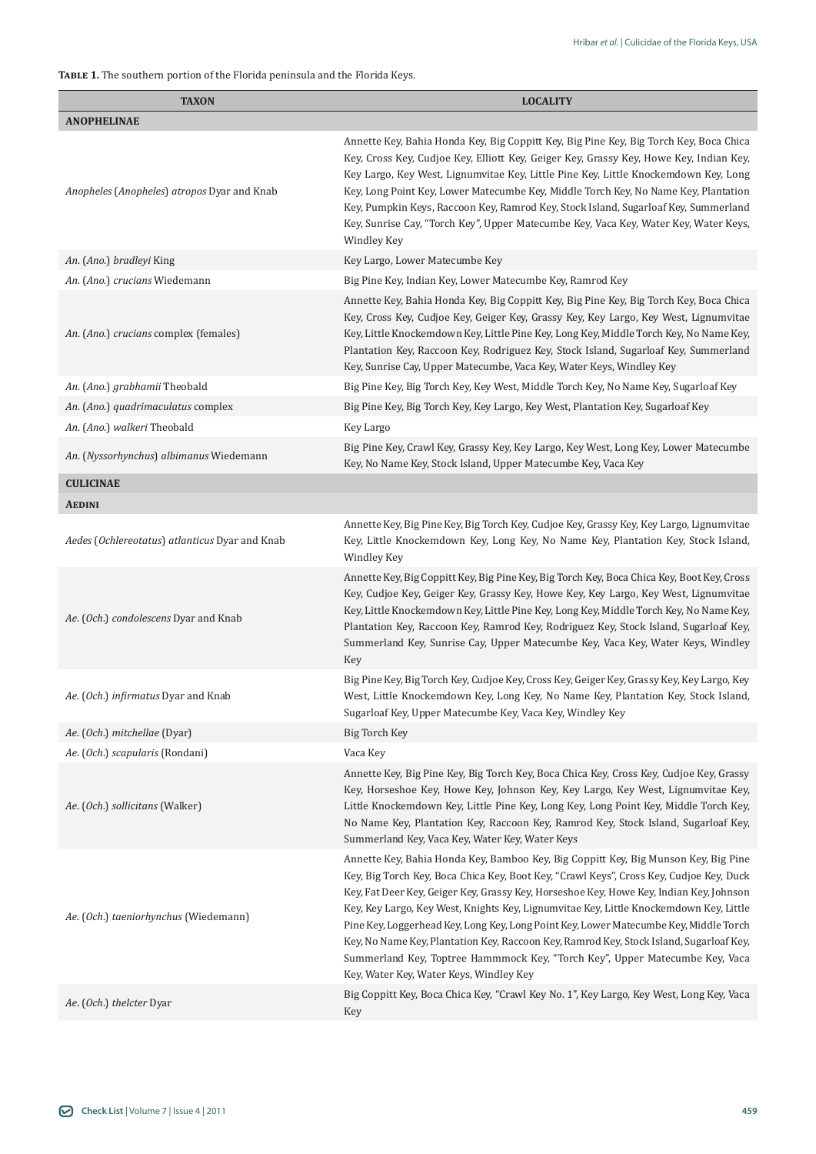# **Table 1.** The southern portion of the Florida peninsula and the Florida Keys.

| <b>TAXON</b>                                                      | <b>LOCALITY</b>                                                                                                                                                                                                                                                                                                                                                                                                                                                                                                                                                                                                                                                                                                                                                               |
|-------------------------------------------------------------------|-------------------------------------------------------------------------------------------------------------------------------------------------------------------------------------------------------------------------------------------------------------------------------------------------------------------------------------------------------------------------------------------------------------------------------------------------------------------------------------------------------------------------------------------------------------------------------------------------------------------------------------------------------------------------------------------------------------------------------------------------------------------------------|
| <b>ANOPHELINAE</b>                                                |                                                                                                                                                                                                                                                                                                                                                                                                                                                                                                                                                                                                                                                                                                                                                                               |
| Anopheles (Anopheles) atropos Dyar and Knab                       | Annette Key, Bahia Honda Key, Big Coppitt Key, Big Pine Key, Big Torch Key, Boca Chica<br>Key, Cross Key, Cudjoe Key, Elliott Key, Geiger Key, Grassy Key, Howe Key, Indian Key,<br>Key Largo, Key West, Lignumvitae Key, Little Pine Key, Little Knockemdown Key, Long<br>Key, Long Point Key, Lower Matecumbe Key, Middle Torch Key, No Name Key, Plantation<br>Key, Pumpkin Keys, Raccoon Key, Ramrod Key, Stock Island, Sugarloaf Key, Summerland<br>Key, Sunrise Cay, "Torch Key", Upper Matecumbe Key, Vaca Key, Water Key, Water Keys,<br><b>Windley Key</b>                                                                                                                                                                                                           |
| An. (Ano.) bradleyi King                                          | Key Largo, Lower Matecumbe Key                                                                                                                                                                                                                                                                                                                                                                                                                                                                                                                                                                                                                                                                                                                                                |
| An. (Ano.) crucians Wiedemann                                     | Big Pine Key, Indian Key, Lower Matecumbe Key, Ramrod Key                                                                                                                                                                                                                                                                                                                                                                                                                                                                                                                                                                                                                                                                                                                     |
| An. (Ano.) crucians complex (females)                             | Annette Key, Bahia Honda Key, Big Coppitt Key, Big Pine Key, Big Torch Key, Boca Chica<br>Key, Cross Key, Cudjoe Key, Geiger Key, Grassy Key, Key Largo, Key West, Lignumvitae<br>Key, Little Knockemdown Key, Little Pine Key, Long Key, Middle Torch Key, No Name Key,<br>Plantation Key, Raccoon Key, Rodriguez Key, Stock Island, Sugarloaf Key, Summerland<br>Key, Sunrise Cay, Upper Matecumbe, Vaca Key, Water Keys, Windley Key                                                                                                                                                                                                                                                                                                                                       |
| An. (Ano.) grabhamii Theobald                                     | Big Pine Key, Big Torch Key, Key West, Middle Torch Key, No Name Key, Sugarloaf Key                                                                                                                                                                                                                                                                                                                                                                                                                                                                                                                                                                                                                                                                                           |
| An. (Ano.) quadrimaculatus complex                                | Big Pine Key, Big Torch Key, Key Largo, Key West, Plantation Key, Sugarloaf Key                                                                                                                                                                                                                                                                                                                                                                                                                                                                                                                                                                                                                                                                                               |
| An. (Ano.) walkeri Theobald                                       | Key Largo                                                                                                                                                                                                                                                                                                                                                                                                                                                                                                                                                                                                                                                                                                                                                                     |
| An. (Nyssorhynchus) albimanus Wiedemann                           | Big Pine Key, Crawl Key, Grassy Key, Key Largo, Key West, Long Key, Lower Matecumbe<br>Key, No Name Key, Stock Island, Upper Matecumbe Key, Vaca Key                                                                                                                                                                                                                                                                                                                                                                                                                                                                                                                                                                                                                          |
| <b>CULICINAE</b>                                                  |                                                                                                                                                                                                                                                                                                                                                                                                                                                                                                                                                                                                                                                                                                                                                                               |
| <b>AEDINI</b>                                                     |                                                                                                                                                                                                                                                                                                                                                                                                                                                                                                                                                                                                                                                                                                                                                                               |
| Aedes (Ochlereotatus) atlanticus Dyar and Knab                    | Annette Key, Big Pine Key, Big Torch Key, Cudjoe Key, Grassy Key, Key Largo, Lignumvitae<br>Key, Little Knockemdown Key, Long Key, No Name Key, Plantation Key, Stock Island,<br><b>Windley Key</b>                                                                                                                                                                                                                                                                                                                                                                                                                                                                                                                                                                           |
| Ae. (Och.) condolescens Dyar and Knab                             | Annette Key, Big Coppitt Key, Big Pine Key, Big Torch Key, Boca Chica Key, Boot Key, Cross<br>Key, Cudjoe Key, Geiger Key, Grassy Key, Howe Key, Key Largo, Key West, Lignumvitae<br>Key, Little Knockemdown Key, Little Pine Key, Long Key, Middle Torch Key, No Name Key,<br>Plantation Key, Raccoon Key, Ramrod Key, Rodriguez Key, Stock Island, Sugarloaf Key,<br>Summerland Key, Sunrise Cay, Upper Matecumbe Key, Vaca Key, Water Keys, Windley<br>Key                                                                                                                                                                                                                                                                                                                 |
| Ae. (Och.) infirmatus Dyar and Knab                               | Big Pine Key, Big Torch Key, Cudjoe Key, Cross Key, Geiger Key, Grassy Key, Key Largo, Key<br>West, Little Knockemdown Key, Long Key, No Name Key, Plantation Key, Stock Island,<br>Sugarloaf Key, Upper Matecumbe Key, Vaca Key, Windley Key                                                                                                                                                                                                                                                                                                                                                                                                                                                                                                                                 |
| Ae. (Och.) mitchellae (Dyar)                                      | Big Torch Key                                                                                                                                                                                                                                                                                                                                                                                                                                                                                                                                                                                                                                                                                                                                                                 |
| Ae. (Och.) scapularis (Rondani)                                   | Vaca Key                                                                                                                                                                                                                                                                                                                                                                                                                                                                                                                                                                                                                                                                                                                                                                      |
| Ae. (Och.) sollicitans (Walker)                                   | Annette Key, Big Pine Key, Big Torch Key, Boca Chica Key, Cross Key, Cudjoe Key, Grassy<br>Key, Horseshoe Key, Howe Key, Johnson Key, Key Largo, Key West, Lignumvitae Key,<br>Little Knockemdown Key, Little Pine Key, Long Key, Long Point Key, Middle Torch Key,<br>No Name Key, Plantation Key, Raccoon Key, Ramrod Key, Stock Island, Sugarloaf Key,<br>Summerland Key, Vaca Key, Water Key, Water Keys                                                                                                                                                                                                                                                                                                                                                                  |
| Ae. (Och.) taeniorhynchus (Wiedemann)<br>Ae. (Och.) thelcter Dyar | Annette Key, Bahia Honda Key, Bamboo Key, Big Coppitt Key, Big Munson Key, Big Pine<br>Key, Big Torch Key, Boca Chica Key, Boot Key, "Crawl Keys", Cross Key, Cudjoe Key, Duck<br>Key, Fat Deer Key, Geiger Key, Grassy Key, Horseshoe Key, Howe Key, Indian Key, Johnson<br>Key, Key Largo, Key West, Knights Key, Lignumvitae Key, Little Knockemdown Key, Little<br>Pine Key, Loggerhead Key, Long Key, Long Point Key, Lower Matecumbe Key, Middle Torch<br>Key, No Name Key, Plantation Key, Raccoon Key, Ramrod Key, Stock Island, Sugarloaf Key,<br>Summerland Key, Toptree Hammmock Key, "Torch Key", Upper Matecumbe Key, Vaca<br>Key, Water Key, Water Keys, Windley Key<br>Big Coppitt Key, Boca Chica Key, "Crawl Key No. 1", Key Largo, Key West, Long Key, Vaca |
|                                                                   | Key                                                                                                                                                                                                                                                                                                                                                                                                                                                                                                                                                                                                                                                                                                                                                                           |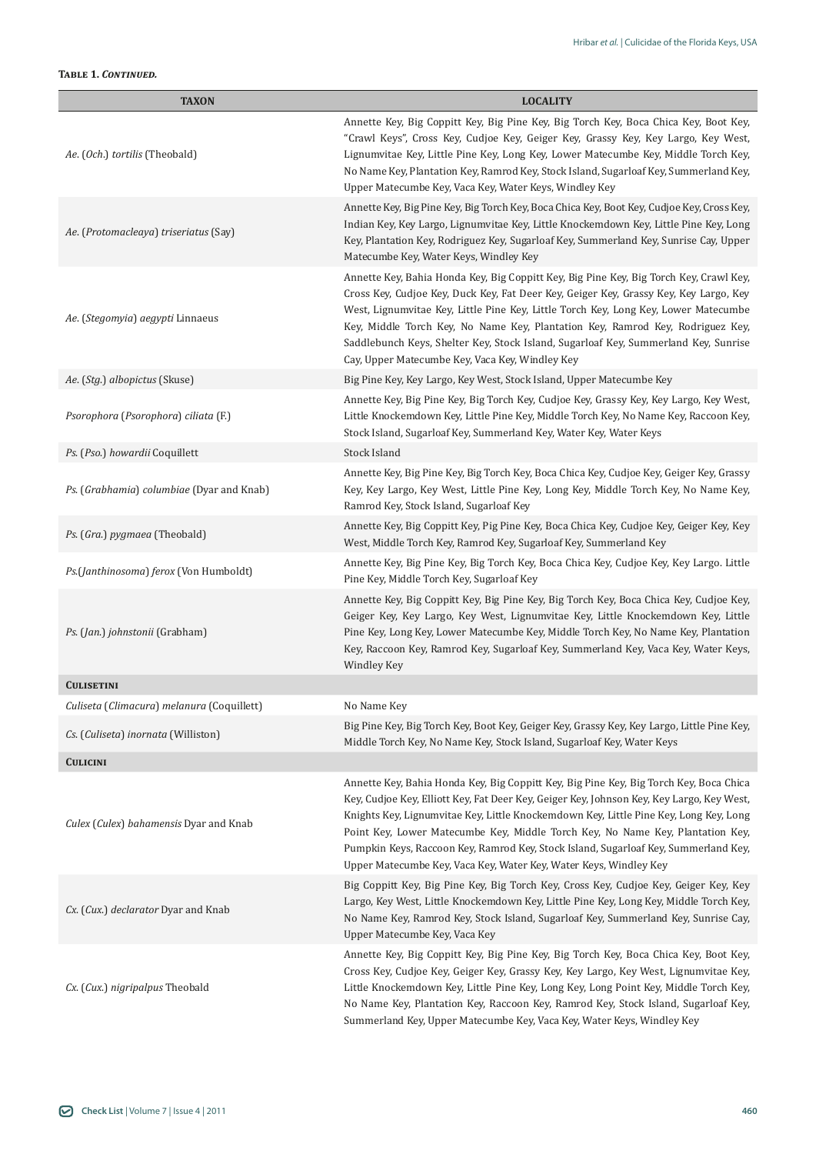# **Table 1.** *Continued.*

| <b>TAXON</b>                               | <b>LOCALITY</b>                                                                                                                                                                                                                                                                                                                                                                                                                                                                                                            |
|--------------------------------------------|----------------------------------------------------------------------------------------------------------------------------------------------------------------------------------------------------------------------------------------------------------------------------------------------------------------------------------------------------------------------------------------------------------------------------------------------------------------------------------------------------------------------------|
| Ae. (Och.) tortilis (Theobald)             | Annette Key, Big Coppitt Key, Big Pine Key, Big Torch Key, Boca Chica Key, Boot Key,<br>"Crawl Keys", Cross Key, Cudjoe Key, Geiger Key, Grassy Key, Key Largo, Key West,<br>Lignumvitae Key, Little Pine Key, Long Key, Lower Matecumbe Key, Middle Torch Key,<br>No Name Key, Plantation Key, Ramrod Key, Stock Island, Sugarloaf Key, Summerland Key,<br>Upper Matecumbe Key, Vaca Key, Water Keys, Windley Key                                                                                                         |
| Ae. (Protomacleaya) triseriatus (Say)      | Annette Key, Big Pine Key, Big Torch Key, Boca Chica Key, Boot Key, Cudjoe Key, Cross Key,<br>Indian Key, Key Largo, Lignumvitae Key, Little Knockemdown Key, Little Pine Key, Long<br>Key, Plantation Key, Rodriguez Key, Sugarloaf Key, Summerland Key, Sunrise Cay, Upper<br>Matecumbe Key, Water Keys, Windley Key                                                                                                                                                                                                     |
| Ae. (Stegomyia) aegypti Linnaeus           | Annette Key, Bahia Honda Key, Big Coppitt Key, Big Pine Key, Big Torch Key, Crawl Key,<br>Cross Key, Cudjoe Key, Duck Key, Fat Deer Key, Geiger Key, Grassy Key, Key Largo, Key<br>West, Lignumvitae Key, Little Pine Key, Little Torch Key, Long Key, Lower Matecumbe<br>Key, Middle Torch Key, No Name Key, Plantation Key, Ramrod Key, Rodriguez Key,<br>Saddlebunch Keys, Shelter Key, Stock Island, Sugarloaf Key, Summerland Key, Sunrise<br>Cay, Upper Matecumbe Key, Vaca Key, Windley Key                         |
| Ae. (Stg.) albopictus (Skuse)              | Big Pine Key, Key Largo, Key West, Stock Island, Upper Matecumbe Key                                                                                                                                                                                                                                                                                                                                                                                                                                                       |
| Psorophora (Psorophora) ciliata (F.)       | Annette Key, Big Pine Key, Big Torch Key, Cudjoe Key, Grassy Key, Key Largo, Key West,<br>Little Knockemdown Key, Little Pine Key, Middle Torch Key, No Name Key, Raccoon Key,<br>Stock Island, Sugarloaf Key, Summerland Key, Water Key, Water Keys                                                                                                                                                                                                                                                                       |
| Ps. (Pso.) howardii Coquillett             | Stock Island                                                                                                                                                                                                                                                                                                                                                                                                                                                                                                               |
| Ps. (Grabhamia) columbiae (Dyar and Knab)  | Annette Key, Big Pine Key, Big Torch Key, Boca Chica Key, Cudjoe Key, Geiger Key, Grassy<br>Key, Key Largo, Key West, Little Pine Key, Long Key, Middle Torch Key, No Name Key,<br>Ramrod Key, Stock Island, Sugarloaf Key                                                                                                                                                                                                                                                                                                 |
| Ps. (Gra.) pygmaea (Theobald)              | Annette Key, Big Coppitt Key, Pig Pine Key, Boca Chica Key, Cudjoe Key, Geiger Key, Key<br>West, Middle Torch Key, Ramrod Key, Sugarloaf Key, Summerland Key                                                                                                                                                                                                                                                                                                                                                               |
| Ps.(Janthinosoma) ferox (Von Humboldt)     | Annette Key, Big Pine Key, Big Torch Key, Boca Chica Key, Cudjoe Key, Key Largo. Little<br>Pine Key, Middle Torch Key, Sugarloaf Key                                                                                                                                                                                                                                                                                                                                                                                       |
| Ps. (Jan.) johnstonii (Grabham)            | Annette Key, Big Coppitt Key, Big Pine Key, Big Torch Key, Boca Chica Key, Cudjoe Key,<br>Geiger Key, Key Largo, Key West, Lignumvitae Key, Little Knockemdown Key, Little<br>Pine Key, Long Key, Lower Matecumbe Key, Middle Torch Key, No Name Key, Plantation<br>Key, Raccoon Key, Ramrod Key, Sugarloaf Key, Summerland Key, Vaca Key, Water Keys,<br><b>Windley Key</b>                                                                                                                                               |
| <b>CULISETINI</b>                          |                                                                                                                                                                                                                                                                                                                                                                                                                                                                                                                            |
| Culiseta (Climacura) melanura (Coquillett) | No Name Key                                                                                                                                                                                                                                                                                                                                                                                                                                                                                                                |
| Cs. (Culiseta) inornata (Williston)        | Big Pine Key, Big Torch Key, Boot Key, Geiger Key, Grassy Key, Key Largo, Little Pine Key,<br>Middle Torch Key, No Name Key, Stock Island, Sugarloaf Key, Water Keys                                                                                                                                                                                                                                                                                                                                                       |
| <b>CULICINI</b>                            |                                                                                                                                                                                                                                                                                                                                                                                                                                                                                                                            |
| Culex (Culex) bahamensis Dyar and Knab     | Annette Key, Bahia Honda Key, Big Coppitt Key, Big Pine Key, Big Torch Key, Boca Chica<br>Key, Cudjoe Key, Elliott Key, Fat Deer Key, Geiger Key, Johnson Key, Key Largo, Key West,<br>Knights Key, Lignumvitae Key, Little Knockemdown Key, Little Pine Key, Long Key, Long<br>Point Key, Lower Matecumbe Key, Middle Torch Key, No Name Key, Plantation Key,<br>Pumpkin Keys, Raccoon Key, Ramrod Key, Stock Island, Sugarloaf Key, Summerland Key,<br>Upper Matecumbe Key, Vaca Key, Water Key, Water Keys, Windley Key |
| Cx. (Cux.) declarator Dyar and Knab        | Big Coppitt Key, Big Pine Key, Big Torch Key, Cross Key, Cudjoe Key, Geiger Key, Key<br>Largo, Key West, Little Knockemdown Key, Little Pine Key, Long Key, Middle Torch Key,<br>No Name Key, Ramrod Key, Stock Island, Sugarloaf Key, Summerland Key, Sunrise Cay,<br>Upper Matecumbe Key, Vaca Key                                                                                                                                                                                                                       |
| Cx. (Cux.) nigripalpus Theobald            | Annette Key, Big Coppitt Key, Big Pine Key, Big Torch Key, Boca Chica Key, Boot Key,<br>Cross Key, Cudjoe Key, Geiger Key, Grassy Key, Key Largo, Key West, Lignumvitae Key,<br>Little Knockemdown Key, Little Pine Key, Long Key, Long Point Key, Middle Torch Key,<br>No Name Key, Plantation Key, Raccoon Key, Ramrod Key, Stock Island, Sugarloaf Key,<br>Summerland Key, Upper Matecumbe Key, Vaca Key, Water Keys, Windley Key                                                                                       |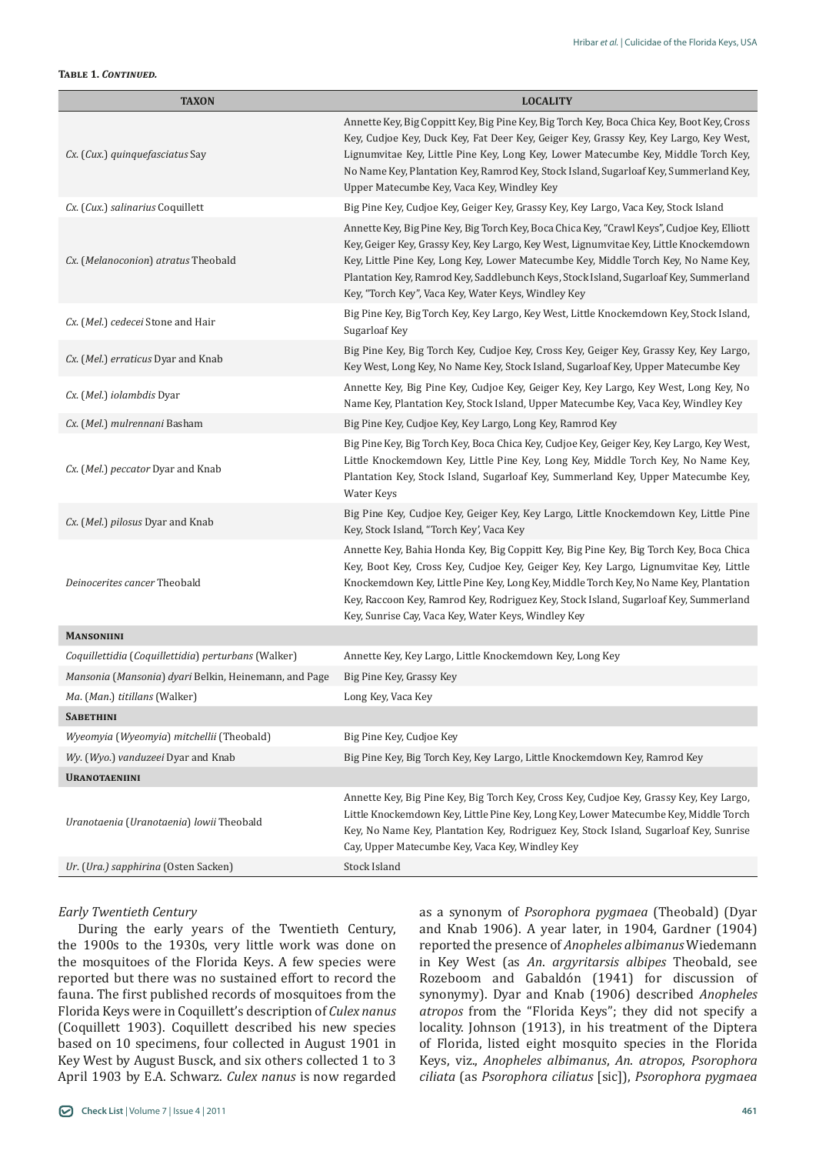#### **Table 1.** *Continued.*

| <b>TAXON</b>                                          | <b>LOCALITY</b>                                                                                                                                                                                                                                                                                                                                                                                                             |
|-------------------------------------------------------|-----------------------------------------------------------------------------------------------------------------------------------------------------------------------------------------------------------------------------------------------------------------------------------------------------------------------------------------------------------------------------------------------------------------------------|
| Cx. (Cux.) quinquefasciatus Say                       | Annette Key, Big Coppitt Key, Big Pine Key, Big Torch Key, Boca Chica Key, Boot Key, Cross<br>Key, Cudjoe Key, Duck Key, Fat Deer Key, Geiger Key, Grassy Key, Key Largo, Key West,<br>Lignumvitae Key, Little Pine Key, Long Key, Lower Matecumbe Key, Middle Torch Key,<br>No Name Key, Plantation Key, Ramrod Key, Stock Island, Sugarloaf Key, Summerland Key,<br>Upper Matecumbe Key, Vaca Key, Windley Key            |
| Cx. (Cux.) salinarius Coquillett                      | Big Pine Key, Cudjoe Key, Geiger Key, Grassy Key, Key Largo, Vaca Key, Stock Island                                                                                                                                                                                                                                                                                                                                         |
| Cx. (Melanoconion) atratus Theobald                   | Annette Key, Big Pine Key, Big Torch Key, Boca Chica Key, "Crawl Keys", Cudjoe Key, Elliott<br>Key, Geiger Key, Grassy Key, Key Largo, Key West, Lignumvitae Key, Little Knockemdown<br>Key, Little Pine Key, Long Key, Lower Matecumbe Key, Middle Torch Key, No Name Key,<br>Plantation Key, Ramrod Key, Saddlebunch Keys, Stock Island, Sugarloaf Key, Summerland<br>Key, "Torch Key", Vaca Key, Water Keys, Windley Key |
| Cx. (Mel.) cedecei Stone and Hair                     | Big Pine Key, Big Torch Key, Key Largo, Key West, Little Knockemdown Key, Stock Island,<br>Sugarloaf Key                                                                                                                                                                                                                                                                                                                    |
| Cx. (Mel.) erraticus Dyar and Knab                    | Big Pine Key, Big Torch Key, Cudjoe Key, Cross Key, Geiger Key, Grassy Key, Key Largo,<br>Key West, Long Key, No Name Key, Stock Island, Sugarloaf Key, Upper Matecumbe Key                                                                                                                                                                                                                                                 |
| Cx. (Mel.) iolambdis Dyar                             | Annette Key, Big Pine Key, Cudjoe Key, Geiger Key, Key Largo, Key West, Long Key, No<br>Name Key, Plantation Key, Stock Island, Upper Matecumbe Key, Vaca Key, Windley Key                                                                                                                                                                                                                                                  |
| Cx. (Mel.) mulrennani Basham                          | Big Pine Key, Cudjoe Key, Key Largo, Long Key, Ramrod Key                                                                                                                                                                                                                                                                                                                                                                   |
| Cx. (Mel.) peccator Dyar and Knab                     | Big Pine Key, Big Torch Key, Boca Chica Key, Cudjoe Key, Geiger Key, Key Largo, Key West,<br>Little Knockemdown Key, Little Pine Key, Long Key, Middle Torch Key, No Name Key,<br>Plantation Key, Stock Island, Sugarloaf Key, Summerland Key, Upper Matecumbe Key,<br>Water Keys                                                                                                                                           |
| Cx. (Mel.) pilosus Dyar and Knab                      | Big Pine Key, Cudjoe Key, Geiger Key, Key Largo, Little Knockemdown Key, Little Pine<br>Key, Stock Island, "Torch Key', Vaca Key                                                                                                                                                                                                                                                                                            |
| Deinocerites cancer Theobald                          | Annette Key, Bahia Honda Key, Big Coppitt Key, Big Pine Key, Big Torch Key, Boca Chica<br>Key, Boot Key, Cross Key, Cudjoe Key, Geiger Key, Key Largo, Lignumvitae Key, Little<br>Knockemdown Key, Little Pine Key, Long Key, Middle Torch Key, No Name Key, Plantation<br>Key, Raccoon Key, Ramrod Key, Rodriguez Key, Stock Island, Sugarloaf Key, Summerland<br>Key, Sunrise Cay, Vaca Key, Water Keys, Windley Key      |
| <b>MANSONIINI</b>                                     |                                                                                                                                                                                                                                                                                                                                                                                                                             |
| Coquillettidia (Coquillettidia) perturbans (Walker)   | Annette Key, Key Largo, Little Knockemdown Key, Long Key                                                                                                                                                                                                                                                                                                                                                                    |
| Mansonia (Mansonia) dyari Belkin, Heinemann, and Page | Big Pine Key, Grassy Key                                                                                                                                                                                                                                                                                                                                                                                                    |
| Ma. (Man.) titillans (Walker)                         | Long Key, Vaca Key                                                                                                                                                                                                                                                                                                                                                                                                          |
| <b>SABETHINI</b>                                      |                                                                                                                                                                                                                                                                                                                                                                                                                             |
| Wyeomyia (Wyeomyia) mitchellii (Theobald)             | Big Pine Key, Cudjoe Key                                                                                                                                                                                                                                                                                                                                                                                                    |
| Wy. (Wyo.) vanduzeei Dyar and Knab                    | Big Pine Key, Big Torch Key, Key Largo, Little Knockemdown Key, Ramrod Key                                                                                                                                                                                                                                                                                                                                                  |
| <b>URANOTAENIINI</b>                                  |                                                                                                                                                                                                                                                                                                                                                                                                                             |
| Uranotaenia (Uranotaenia) lowii Theobald              | Annette Key, Big Pine Key, Big Torch Key, Cross Key, Cudjoe Key, Grassy Key, Key Largo,<br>Little Knockemdown Key, Little Pine Key, Long Key, Lower Matecumbe Key, Middle Torch<br>Key, No Name Key, Plantation Key, Rodriguez Key, Stock Island, Sugarloaf Key, Sunrise<br>Cay, Upper Matecumbe Key, Vaca Key, Windley Key                                                                                                 |
| Ur. (Ura.) sapphirina (Osten Sacken)                  | Stock Island                                                                                                                                                                                                                                                                                                                                                                                                                |

# *Early Twentieth Century*

During the early years of the Twentieth Century, the 1900s to the 1930s, very little work was done on the mosquitoes of the Florida Keys. A few species were reported but there was no sustained effort to record the fauna. The first published records of mosquitoes from the Florida Keys were in Coquillett's description of *Culex nanus* (Coquillett 1903). Coquillett described his new species based on 10 specimens, four collected in August 1901 in Key West by August Busck, and six others collected 1 to 3 April 1903 by E.A. Schwarz. *Culex nanus* is now regarded as a synonym of *Psorophora pygmaea* (Theobald) (Dyar and Knab 1906). A year later, in 1904, Gardner (1904) reported the presence of *Anopheles albimanus* Wiedemann in Key West (as *An*. *argyritarsis albipes* Theobald, see Rozeboom and Gabaldón (1941) for discussion of synonymy). Dyar and Knab (1906) described *Anopheles atropos* from the "Florida Keys"; they did not specify a locality. Johnson (1913), in his treatment of the Diptera of Florida, listed eight mosquito species in the Florida Keys, viz., *Anopheles albimanus*, *An*. *atropos*, *Psorophora ciliata* (as *Psorophora ciliatus* [sic]), *Psorophora pygmaea*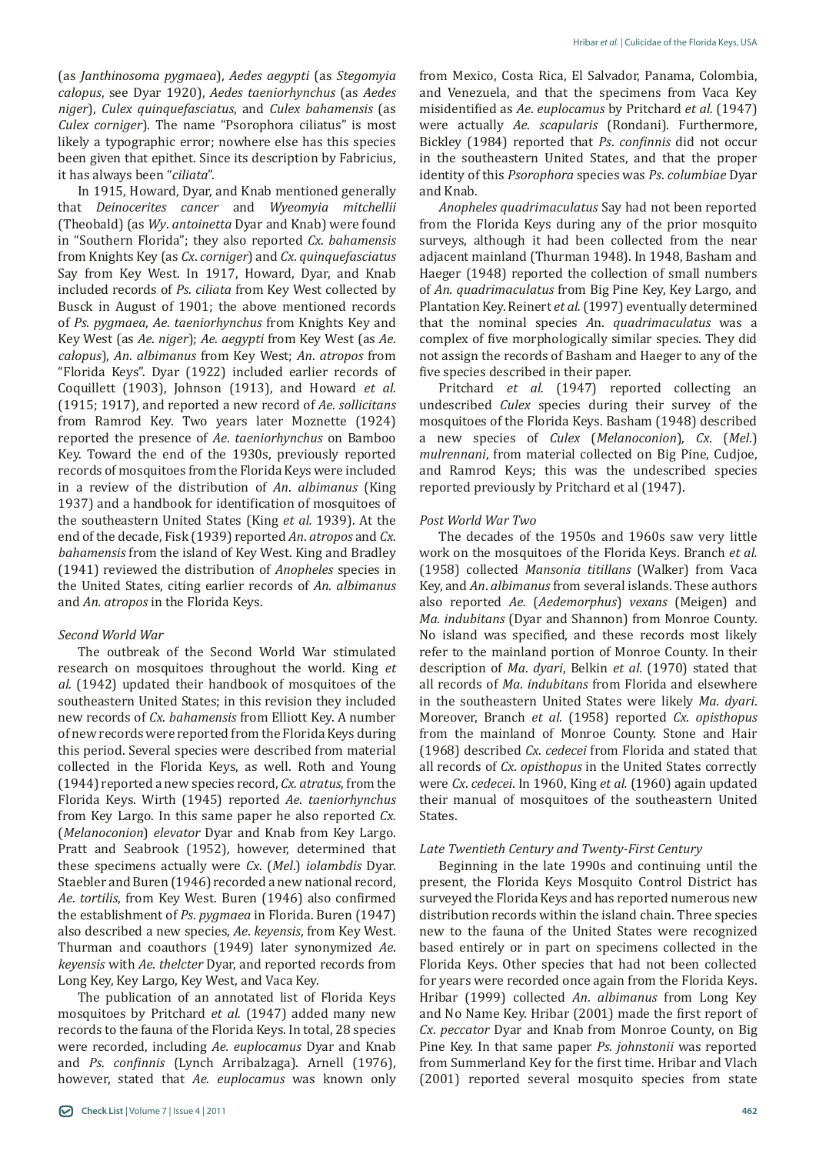(as *Janthinosoma pygmaea*), *Aedes aegypti* (as *Stegomyia calopus*, see Dyar 1920), *Aedes taeniorhynchus* (as *Aedes niger*), *Culex quinquefasciatus*, and *Culex bahamensis* (as *Culex corniger*). The name "Psorophora ciliatus" is most likely a typographic error; nowhere else has this species been given that epithet. Since its description by Fabricius, it has always been "*ciliata*".

In 1915, Howard, Dyar, and Knab mentioned generally that *Deinocerites cancer* and *Wyeomyia mitchellii* (Theobald) (as *Wy*. *antoinetta* Dyar and Knab) were found in "Southern Florida"; they also reported *Cx*. *bahamensis* from Knights Key (as *Cx*. *corniger*) and *Cx*. *quinquefasciatus* Say from Key West. In 1917, Howard, Dyar, and Knab included records of *Ps*. *ciliata* from Key West collected by Busck in August of 1901; the above mentioned records of *Ps*. *pygmaea*, *Ae*. *taeniorhynchus* from Knights Key and Key West (as *Ae*. *niger*); *Ae*. *aegypti* from Key West (as *Ae*. *calopus*), *An*. *albimanus* from Key West; *An*. *atropos* from "Florida Keys". Dyar (1922) included earlier records of Coquillett (1903), Johnson (1913), and Howard *et al.* (1915; 1917), and reported a new record of *Ae*. *sollicitans* from Ramrod Key. Two years later Moznette (1924) reported the presence of *Ae*. *taeniorhynchus* on Bamboo Key. Toward the end of the 1930s, previously reported records of mosquitoes from the Florida Keys were included in a review of the distribution of *An*. *albimanus* (King 1937) and a handbook for identification of mosquitoes of the southeastern United States (King *et al.* 1939). At the end of the decade, Fisk (1939) reported *An*. *atropos* and *Cx*. *bahamensis* from the island of Key West. King and Bradley (1941) reviewed the distribution of *Anopheles* species in the United States, citing earlier records of *An. albimanus* and *An. atropos* in the Florida Keys.

#### *Second World War*

The outbreak of the Second World War stimulated research on mosquitoes throughout the world. King *et al.* (1942) updated their handbook of mosquitoes of the southeastern United States; in this revision they included new records of *Cx*. *bahamensis* from Elliott Key. A number of new records were reported from the Florida Keys during this period. Several species were described from material collected in the Florida Keys, as well. Roth and Young (1944) reported a new species record, *Cx. atratus*, from the Florida Keys. Wirth (1945) reported *Ae*. *taeniorhynchus* from Key Largo. In this same paper he also reported *Cx.* (*Melanoconion*) *elevator* Dyar and Knab from Key Largo. Pratt and Seabrook (1952), however, determined that these specimens actually were *Cx*. (*Mel*.) *iolambdis* Dyar. Staebler and Buren (1946) recorded a new national record, *Ae*. *tortilis*, from Key West. Buren (1946) also confirmed the establishment of *Ps*. *pygmaea* in Florida. Buren (1947) also described a new species, *Ae*. *keyensis*, from Key West. Thurman and coauthors (1949) later synonymized *Ae*. *keyensis* with *Ae*. *thelcter* Dyar, and reported records from Long Key, Key Largo, Key West, and Vaca Key.

The publication of an annotated list of Florida Keys mosquitoes by Pritchard *et al.* (1947) added many new records to the fauna of the Florida Keys. In total, 28 species were recorded, including *Ae. euplocamus* Dyar and Knab and *Ps. confinnis* (Lynch Arribalzaga). Arnell (1976), however, stated that *Ae*. *euplocamus* was known only

from Mexico, Costa Rica, El Salvador, Panama, Colombia, and Venezuela, and that the specimens from Vaca Key misidentified as *Ae*. *euplocamus* by Pritchard *et al.* (1947) were actually *Ae*. *scapularis* (Rondani). Furthermore, Bickley (1984) reported that *Ps*. *confinnis* did not occur in the southeastern United States, and that the proper identity of this *Psorophora* species was *Ps*. *columbiae* Dyar and Knab.

*Anopheles quadrimaculatus* Say had not been reported from the Florida Keys during any of the prior mosquito surveys, although it had been collected from the near adjacent mainland (Thurman 1948). In 1948, Basham and Haeger (1948) reported the collection of small numbers of *An. quadrimaculatus* from Big Pine Key, Key Largo, and Plantation Key. Reinert *et al.* (1997) eventually determined that the nominal species *A*n. *quadrimaculatus* was a complex of five morphologically similar species. They did not assign the records of Basham and Haeger to any of the five species described in their paper.

Pritchard *et al.* (1947) reported collecting an undescribed *Culex* species during their survey of the mosquitoes of the Florida Keys. Basham (1948) described a new species of *Culex* (*Melanoconion*), *Cx*. (*Mel*.) *mulrennani*, from material collected on Big Pine, Cudjoe, and Ramrod Keys; this was the undescribed species reported previously by Pritchard et al (1947).

### *Post World War Two*

The decades of the 1950s and 1960s saw very little work on the mosquitoes of the Florida Keys. Branch *et al.* (1958) collected *Mansonia titillans* (Walker) from Vaca Key, and *An*. *albimanus* from several islands. These authors also reported *Ae.* (*Aedemorphus*) *vexans* (Meigen) and *Ma. indubitans* (Dyar and Shannon) from Monroe County. No island was specified, and these records most likely refer to the mainland portion of Monroe County. In their description of *Ma*. *dyari*, Belkin *et al.* (1970) stated that all records of *Ma*. *indubitans* from Florida and elsewhere in the southeastern United States were likely *Ma*. *dyari*. Moreover, Branch *et al.* (1958) reported *Cx*. *opisthopus* from the mainland of Monroe County. Stone and Hair (1968) described *Cx*. *cedecei* from Florida and stated that all records of *Cx*. *opisthopus* in the United States correctly were *Cx*. *cedecei*. In 1960, King *et al.* (1960) again updated their manual of mosquitoes of the southeastern United States.

#### *Late Twentieth Century and Twenty-First Century*

Beginning in the late 1990s and continuing until the present, the Florida Keys Mosquito Control District has surveyed the Florida Keys and has reported numerous new distribution records within the island chain. Three species new to the fauna of the United States were recognized based entirely or in part on specimens collected in the Florida Keys. Other species that had not been collected for years were recorded once again from the Florida Keys. Hribar (1999) collected *An*. *albimanus* from Long Key and No Name Key. Hribar (2001) made the first report of *Cx*. *peccator* Dyar and Knab from Monroe County, on Big Pine Key. In that same paper *Ps*. *johnstonii* was reported from Summerland Key for the first time. Hribar and Vlach (2001) reported several mosquito species from state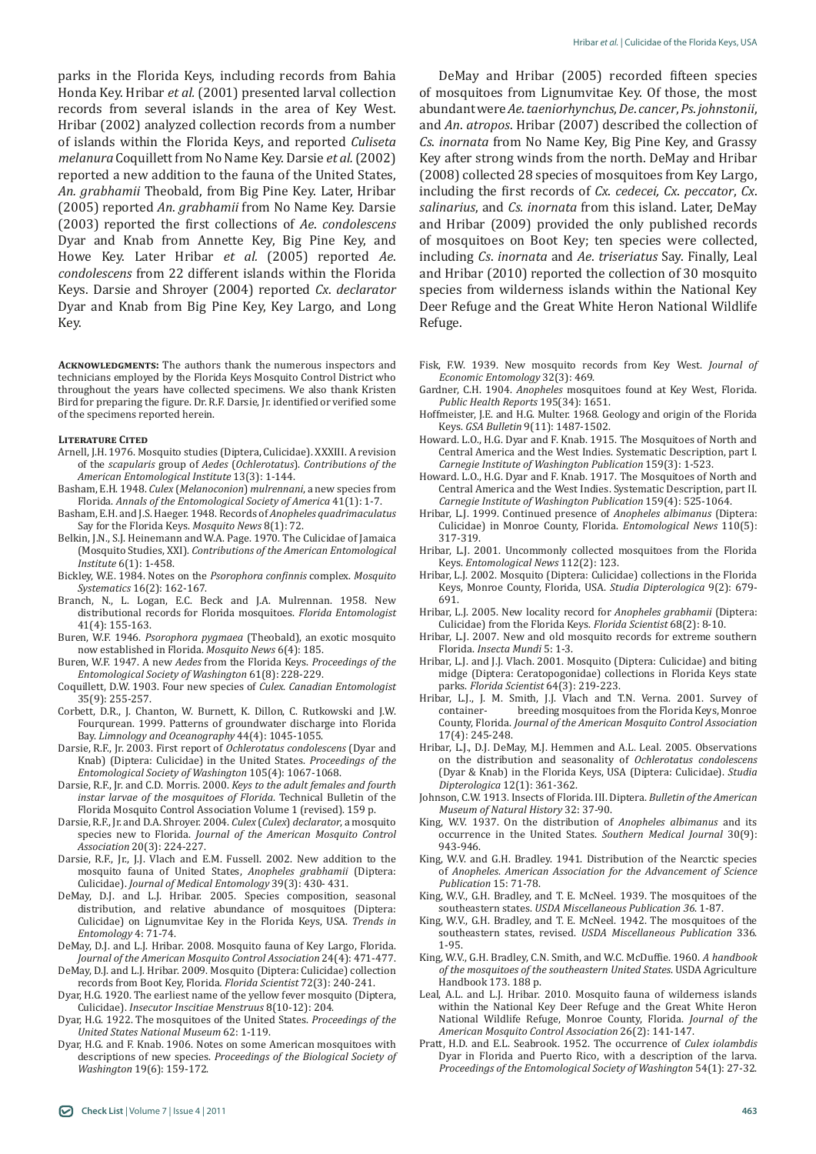parks in the Florida Keys, including records from Bahia Honda Key. Hribar *et al.* (2001) presented larval collection records from several islands in the area of Key West. Hribar (2002) analyzed collection records from a number of islands within the Florida Keys, and reported *Culiseta melanura* Coquillett from No Name Key. Darsie *et al.* (2002) reported a new addition to the fauna of the United States, *An. grabhamii* Theobald, from Big Pine Key. Later, Hribar (2005) reported *An*. *grabhamii* from No Name Key. Darsie (2003) reported the first collections of *Ae*. *condolescens* Dyar and Knab from Annette Key, Big Pine Key, and Howe Key. Later Hribar *et al.* (2005) reported *Ae*. *condolescens* from 22 different islands within the Florida Keys. Darsie and Shroyer (2004) reported *Cx*. *declarator* Dyar and Knab from Big Pine Key, Key Largo, and Long Key.

**Acknowledgments:** The authors thank the numerous inspectors and technicians employed by the Florida Keys Mosquito Control District who throughout the years have collected specimens. We also thank Kristen Bird for preparing the figure. Dr. R.F. Darsie, Jr. identified or verified some of the specimens reported herein.

#### **Literature Cited**

- Arnell, J.H. 1976. Mosquito studies (Diptera, Culicidae). XXXIII. A revision of the *scapularis* group of *Aedes* (*Ochlerotatus*). *Contributions of the American Entomological Institute* 13(3): 1-144.
- Basham, E.H. 1948. *Culex* (*Melanoconion*) *mulrennani*, a new species from Florida. *Annals of the Entomological Society of America* 41(1): 1-7.
- Basham, E.H. and J.S. Haeger. 1948. Records of *Anopheles quadrimaculatus* Say for the Florida Keys. *Mosquito News* 8(1): 72.
- Belkin, J.N., S.J. Heinemann and W.A. Page. 1970. The Culicidae of Jamaica (Mosquito Studies, XXI). *Contributions of the American Entomological Institute* 6(1): 1-458.
- Bickley, W.E. 1984. Notes on the *Psorophora confinnis* complex. *Mosquito Systematics* 16(2): 162-167.
- Branch, N., L. Logan, E.C. Beck and J.A. Mulrennan. 1958. New distributional records for Florida mosquitoes. *Florida Entomologist* 41(4): 155-163.
- Buren, W.F. 1946. *Psorophora pygmaea* (Theobald), an exotic mosquito now established in Florida. *Mosquito News* 6(4): 185.
- Buren, W.F. 1947. A new *Aedes* from the Florida Keys. *Proceedings of the Entomological Society of Washington* 61(8): 228-229.
- Coquillett, D.W. 1903. Four new species of *Culex*. *Canadian Entomologist* 35(9): 255-257.
- Corbett, D.R., J. Chanton, W. Burnett, K. Dillon, C. Rutkowski and J.W. Fourqurean. 1999. Patterns of groundwater discharge into Florida Bay. *Limnology and Oceanography* 44(4): 1045-1055.
- Darsie, R.F., Jr. 2003. First report of *Ochlerotatus condolescens* (Dyar and Knab) (Diptera: Culicidae) in the United States. *Proceedings of the Entomological Society of Washington* 105(4): 1067-1068.
- Darsie, R.F., Jr. and C.D. Morris. 2000. *Keys to the adult females and fourth instar larvae of the mosquitoes of Florida*. Technical Bulletin of the Florida Mosquito Control Association Volume 1 (revised). 159 p.
- Darsie, R.F., Jr. and D.A. Shroyer. 2004. *Culex* (*Culex*) *declarator*, a mosquito species new to Florida. *Journal of the American Mosquito Control Association* 20(3): 224-227.
- Darsie, R.F., Jr., J.J. Vlach and E.M. Fussell. 2002. New addition to the mosquito fauna of United States, *Anopheles grabhamii* (Diptera: Culicidae). *Journal of Medical Entomology* 39(3): 430- 431.
- DeMay, D.J. and L.J. Hribar. 2005. Species composition, seasonal distribution, and relative abundance of mosquitoes (Diptera: Culicidae) on Lignumvitae Key in the Florida Keys, USA. *Trends in Entomology* 4: 71-74.
- DeMay, D.J. and L.J. Hribar. 2008. Mosquito fauna of Key Largo, Florida. *Journal of the American Mosquito Control Association* 24(4): 471-477.
- DeMay, D.J. and L.J. Hribar. 2009. Mosquito (Diptera: Culicidae) collection records from Boot Key, Florida*. Florida Scientist* 72(3): 240-241.
- Dyar, H.G. 1920. The earliest name of the yellow fever mosquito (Diptera, Culicidae). *Insecutor Inscitiae Menstruus* 8(10-12): 204.
- Dyar, H.G. 1922. The mosquitoes of the United States. *Proceedings of the United States National Museum* 62: 1-119.
- Dyar, H.G. and F. Knab. 1906. Notes on some American mosquitoes with descriptions of new species. *Proceedings of the Biological Society of Washington* 19(6): 159-172.

DeMay and Hribar (2005) recorded fifteen species of mosquitoes from Lignumvitae Key. Of those, the most abundant were *Ae*. *taeniorhynchus*, *De*. *cancer*, *Ps*. *johnstonii*, and *An*. *atropos*. Hribar (2007) described the collection of *Cs*. *inornata* from No Name Key, Big Pine Key, and Grassy Key after strong winds from the north. DeMay and Hribar (2008) collected 28 species of mosquitoes from Key Largo, including the first records of *Cx*. *cedecei, Cx*. *peccator*, *Cx*. *salinarius*, and *Cs. inornata* from this island. Later, DeMay and Hribar (2009) provided the only published records of mosquitoes on Boot Key; ten species were collected, including *Cs*. *inornata* and *Ae*. *triseriatus* Say. Finally, Leal and Hribar (2010) reported the collection of 30 mosquito species from wilderness islands within the National Key Deer Refuge and the Great White Heron National Wildlife Refuge.

- Fisk, F.W. 1939. New mosquito records from Key West. *Journal of Economic Entomology* 32(3): 469.
- Gardner, C.H. 1904. *Anopheles* mosquitoes found at Key West, Florida. *Public Health Reports* 195(34): 1651.
- Hoffmeister, J.E. and H.G. Multer. 1968. Geology and origin of the Florida Keys. *GSA Bulletin* 9(11): 1487-1502.
- Howard. L.O., H.G. Dyar and F. Knab. 1915. The Mosquitoes of North and Central America and the West Indies. Systematic Description, part I. *Carnegie Institute of Washington Publication* 159(3): 1-523.
- Howard. L.O., H.G. Dyar and F. Knab. 1917. The Mosquitoes of North and Central America and the West Indies. Systematic Description, part II. *Carnegie Institute of Washington Publication* 159(4): 525-1064.
- Hribar, L.J. 1999. Continued presence of *Anopheles albimanus* (Diptera: Culicidae) in Monroe County, Florida. *Entomological News* 110(5): 317-319.
- Hribar, L.J. 2001. Uncommonly collected mosquitoes from the Florida Keys. *Entomological News* 112(2): 123.
- Hribar, L.J. 2002. Mosquito (Diptera: Culicidae) collections in the Florida Keys, Monroe County, Florida, USA. *Studia Dipterologica* 9(2): 679- 691.
- Hribar, L.J. 2005. New locality record for *Anopheles grabhamii* (Diptera: Culicidae) from the Florida Keys. *Florida Scientist* 68(2): 8-10.
- Hribar, L.J. 2007. New and old mosquito records for extreme southern Florida. *Insecta Mundi* 5: 1-3.
- Hribar, L.J. and J.J. Vlach. 2001. Mosquito (Diptera: Culicidae) and biting midge (Diptera: Ceratopogonidae) collections in Florida Keys state parks. *Florida Scientist* 64(3): 219-223.
- Hribar, L.J., J. M. Smith, J.J. Vlach and T.N. Verna. 2001. Survey of container-<br>breeding mosquitoes from the Florida Keys, Monroe breeding mosquitoes from the Florida Keys, Monroe County, Florida. *Journal of the American Mosquito Control Association* 17(4): 245-248.
- Hribar, L.J., D.J. DeMay, M.J. Hemmen and A.L. Leal. 2005. Observations on the distribution and seasonality of *Ochlerotatus condolescens* (Dyar & Knab) in the Florida Keys, USA (Diptera: Culicidae). *Studia Dipterologica* 12(1): 361-362.
- Johnson, C.W. 1913. Insects of Florida. III. Diptera. *Bulletin of the American Museum of Natural History* 32: 37-90.
- King, W.V. 1937. On the distribution of *Anopheles albimanus* and its occurrence in the United States. *Southern Medical Journal* 30(9): 943-946.
- King, W.V. and G.H. Bradley. 1941. Distribution of the Nearctic species of *Anopheles*. *American Association for the Advancement of Science Publication* 15: 71-78.
- King, W.V., G.H. Bradley, and T. E. McNeel. 1939. The mosquitoes of the southeastern states. *USDA Miscellaneous Publication 36*. 1-87.
- King, W.V., G.H. Bradley, and T. E. McNeel. 1942. The mosquitoes of the southeastern states, revised. *USDA Miscellaneous Publication* 336. 1-95.
- King, W.V., G.H. Bradley, C.N. Smith, and W.C. McDuffie. 1960. *A handbook of the mosquitoes of the southeastern United States*. USDA Agriculture Handbook 173. 188 p.
- Leal, A.L. and L.J. Hribar. 2010. Mosquito fauna of wilderness islands within the National Key Deer Refuge and the Great White Heron National Wildlife Refuge, Monroe County, Florida. *Journal of the American Mosquito Control Association* 26(2): 141-147.
- Pratt, H.D. and E.L. Seabrook. 1952. The occurrence of *Culex iolambdis* Dyar in Florida and Puerto Rico, with a description of the larva. *Proceedings of the Entomological Society of Washington* 54(1): 27-32.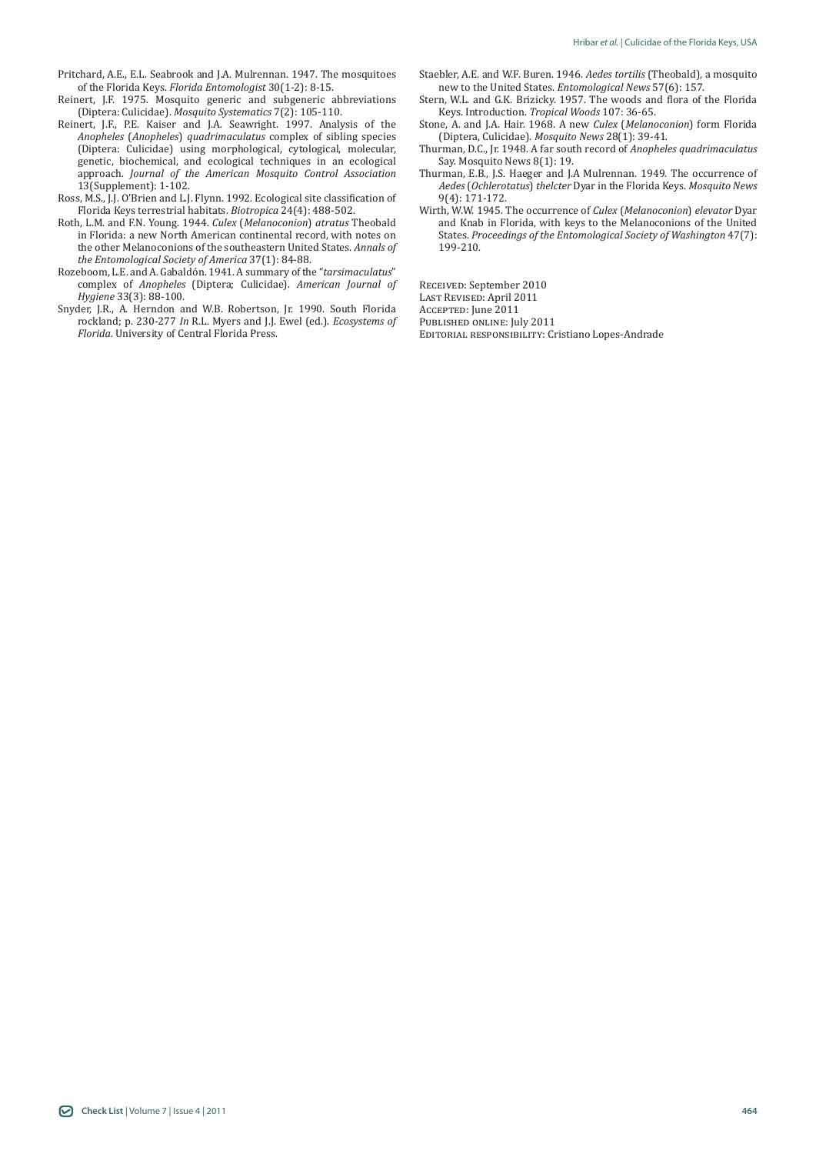- Pritchard, A.E., E.L. Seabrook and J.A. Mulrennan. 1947. The mosquitoes of the Florida Keys. *Florida Entomologist* 30(1-2): 8-15.
- Reinert, J.F. 1975. Mosquito generic and subgeneric abbreviations (Diptera: Culicidae). *Mosquito Systematics* 7(2): 105-110.
- Reinert, J.F., P.E. Kaiser and J.A. Seawright. 1997. Analysis of the *Anopheles* (*Anopheles*) *quadrimaculatus* complex of sibling species (Diptera: Culicidae) using morphological, cytological, molecular, genetic, biochemical, and ecological techniques in an ecological approach. *Journal of the American Mosquito Control Association* 13(Supplement): 1-102.
- Ross, M.S., J.J. O'Brien and L.J. Flynn. 1992. Ecological site classification of Florida Keys terrestrial habitats. *Biotropica* 24(4): 488-502.
- Roth, L.M. and F.N. Young. 1944. *Culex* (*Melanoconion*) *atratus* Theobald in Florida: a new North American continental record, with notes on the other Melanoconions of the southeastern United States. *Annals of the Entomological Society of America* 37(1): 84-88.
- Rozeboom, L.E. and A. Gabaldón. 1941. A summary of the "*tarsimaculatus*" complex of *Anopheles* (Diptera; Culicidae). *American Journal of Hygiene* 33(3): 88-100.
- Snyder, J.R., A. Herndon and W.B. Robertson, Jr. 1990. South Florida rockland; p. 230-277 *In* R.L. Myers and J.J. Ewel (ed.). *Ecosystems of Florida*. University of Central Florida Press.
- Staebler, A.E. and W.F. Buren. 1946. *Aedes tortilis* (Theobald), a mosquito new to the United States. *Entomological News* 57(6): 157.
- Stern, W.L. and G.K. Brizicky. 1957. The woods and flora of the Florida Keys. Introduction. *Tropical Woods* 107: 36-65.
- Stone, A. and J.A. Hair. 1968. A new *Culex* (*Melanoconion*) form Florida (Diptera, Culicidae). *Mosquito News* 28(1): 39-41.
- Thurman, D.C., Jr. 1948. A far south record of *Anopheles quadrimaculatus* Say. Mosquito News 8(1): 19.
- Thurman, E.B., J.S. Haeger and J.A Mulrennan. 1949. The occurrence of *Aedes* (*Ochlerotatus*) *thelcter* Dyar in the Florida Keys. *Mosquito News* 9(4): 171-172.
- Wirth, W.W. 1945. The occurrence of *Culex* (*Melanoconion*) *elevator* Dyar and Knab in Florida, with keys to the Melanoconions of the United States. *Proceedings of the Entomological Society of Washington* 47(7): 199-210.

Received: September 2010

Last Revised: April 2011

Accepted: June 2011

PUBLISHED ONLINE: July 2011

Editorial responsibility: Cristiano Lopes-Andrade